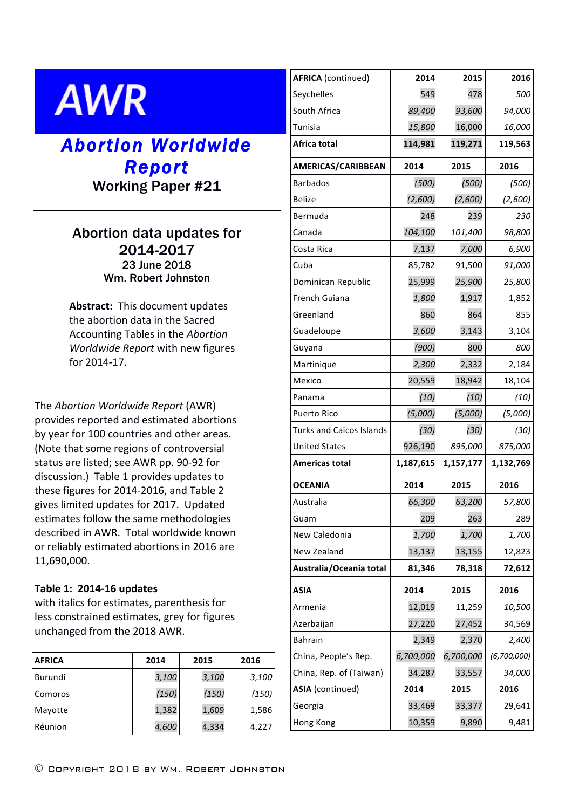# **AWR**

## *Abortion Worldwide Report* Working Paper #21

### Abortion data updates for 2014-2017 23 June 2018 Wm. Robert Johnston

Abstract: This document updates the abortion data in the Sacred Accounting Tables in the *Abortion Worldwide Report* with new figures for 2014-17.

The *Abortion Worldwide Report* (AWR) provides reported and estimated abortions by year for 100 countries and other areas. (Note that some regions of controversial status are listed; see AWR pp. 90-92 for discussion.) Table 1 provides updates to these figures for 2014-2016, and Table 2 gives limited updates for 2017. Updated estimates follow the same methodologies described in AWR. Total worldwide known or reliably estimated abortions in 2016 are 11,690,000.

#### **Table 1: 2014-16 updates**

with italics for estimates, parenthesis for less constrained estimates, grey for figures unchanged from the 2018 AWR.

| <b>AFRICA</b> | 2014  | 2015  | 2016  |
|---------------|-------|-------|-------|
| Burundi       | 3,100 | 3,100 | 3,100 |
| Comoros       | (150) | (150) | (150) |
| Mayotte       | 1,382 | 1,609 | 1,586 |
| Réunion       | 4,600 | 4,334 | 4,227 |

| <b>AFRICA</b> (continued)       | 2014      | 2015      | 2016          |
|---------------------------------|-----------|-----------|---------------|
| Seychelles                      | 549       | 478       | 500           |
| South Africa                    | 89,400    | 93,600    | 94,000        |
| Tunisia                         | 15,800    | 16,000    | 16,000        |
| Africa total                    | 114,981   | 119,271   | 119,563       |
| <b>AMERICAS/CARIBBEAN</b>       | 2014      | 2015      | 2016          |
| <b>Barbados</b>                 | (500)     | (500)     | (500)         |
| <b>Belize</b>                   | (2,600)   | (2,600)   | (2,600)       |
| Bermuda                         | 248       | 239       | 230           |
| Canada                          | 104,100   | 101,400   | 98,800        |
| Costa Rica                      | 7,137     | 7,000     | 6,900         |
| Cuba                            | 85,782    | 91,500    | 91,000        |
| Dominican Republic              | 25,999    | 25,900    | 25,800        |
| French Guiana                   | 1,800     | 1,917     | 1,852         |
| Greenland                       | 860       | 864       | 855           |
| Guadeloupe                      | 3,600     | 3,143     | 3,104         |
| Guyana                          | (900)     | 800       | 800           |
| Martinique                      | 2,300     | 2,332     | 2,184         |
| Mexico                          | 20,559    | 18,942    | 18,104        |
| Panama                          | (10)      | (10)      | (10)          |
| <b>Puerto Rico</b>              | (5,000)   | (5,000)   | (5,000)       |
| <b>Turks and Caicos Islands</b> | (30)      | (30)      | (30)          |
| <b>United States</b>            | 926,190   | 895,000   | 875,000       |
| <b>Americas total</b>           | 1,187,615 | 1,157,177 | 1,132,769     |
| <b>OCEANIA</b>                  | 2014      | 2015      | 2016          |
| Australia                       | 66,300    | 63,200    | 57,800        |
| Guam                            | 209       | 263       | 289           |
|                                 |           |           |               |
| New Caledonia                   | 1,700     | 1,700     | 1,700         |
| New Zealand                     | 13,137    | 13,155    | 12,823        |
| Australia/Oceania total         | 81,346    | 78,318    | 72,612        |
| <b>ASIA</b>                     | 2014      | 2015      | 2016          |
| Armenia                         | 12,019    | 11,259    | 10,500        |
| Azerbaijan                      | 27,220    | 27,452    | 34,569        |
| <b>Bahrain</b>                  | 2,349     | 2,370     | 2,400         |
| China, People's Rep.            | 6,700,000 | 6,700,000 | (6, 700, 000) |
| China, Rep. of (Taiwan)         | 34,287    | 33,557    | 34,000        |
| ASIA (continued)                | 2014      | 2015      | 2016          |
| Georgia                         | 33,469    | 33,377    | 29,641        |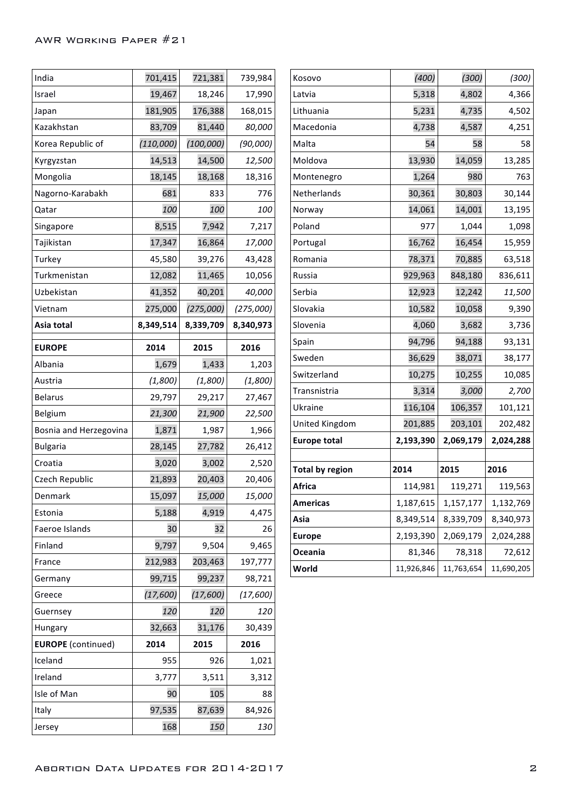| India                     | 701,415   | 721,381    | 739,984   | Kosovo                      |
|---------------------------|-----------|------------|-----------|-----------------------------|
| Israel                    | 19,467    | 18,246     | 17,990    | Latvia                      |
| Japan                     | 181,905   | 176,388    | 168,015   | Lithuania                   |
| Kazakhstan                | 83,709    | 81,440     | 80,000    | Macedon                     |
| Korea Republic of         | (110,000) | (100, 000) | (90,000)  | Malta                       |
| Kyrgyzstan                | 14,513    | 14,500     | 12,500    | Moldova                     |
| Mongolia                  | 18,145    | 18,168     | 18,316    | Montene                     |
| Nagorno-Karabakh          | 681       | 833        | 776       | Netherlar                   |
| Qatar                     | 100       | 100        | 100       | Norway                      |
| Singapore                 | 8,515     | 7,942      | 7,217     | Poland                      |
| Tajikistan                | 17,347    | 16,864     | 17,000    | Portugal                    |
| Turkey                    | 45,580    | 39,276     | 43,428    | Romania                     |
| Turkmenistan              | 12,082    | 11,465     | 10,056    | Russia                      |
| Uzbekistan                | 41,352    | 40,201     | 40,000    | Serbia                      |
| Vietnam                   | 275,000   | (275,000)  | (275,000) | Slovakia                    |
| Asia total                | 8,349,514 | 8,339,709  | 8,340,973 | Slovenia                    |
| <b>EUROPE</b>             | 2014      | 2015       | 2016      | Spain                       |
| Albania                   | 1,679     | 1,433      | 1,203     | Sweden                      |
| Austria                   | (1,800)   | (1,800)    | (1,800)   | Switzerlar                  |
| <b>Belarus</b>            | 29,797    | 29,217     | 27,467    | Transnistı                  |
| Belgium                   | 21,300    | 21,900     | 22,500    | Ukraine                     |
| Bosnia and Herzegovina    | 1,871     | 1,987      | 1,966     | United Kiı                  |
| <b>Bulgaria</b>           | 28,145    | 27,782     | 26,412    | <b>Europe to</b>            |
| Croatia                   | 3,020     | 3,002      | 2,520     |                             |
| Czech Republic            | 21,893    | 20,403     | 20,406    | Total by r<br><b>Africa</b> |
| Denmark                   | 15,097    | 15,000     | 15,000    |                             |
| Estonia                   | 5,188     | 4,919      | 4,475     | Americas<br>Asia            |
| Faeroe Islands            | 30        | 32         | 26        | <b>Europe</b>               |
| Finland                   | 9,797     | 9,504      | 9,465     | Oceania                     |
| France                    | 212,983   | 203,463    | 197,777   | World                       |
| Germany                   | 99,715    | 99,237     | 98,721    |                             |
| Greece                    | (17,600)  | (17,600)   | (17,600)  |                             |
| Guernsey                  | 120       | 120        | 120       |                             |
| Hungary                   | 32,663    | 31,176     | 30,439    |                             |
| <b>EUROPE</b> (continued) | 2014      | 2015       | 2016      |                             |
| Iceland                   | 955       | 926        | 1,021     |                             |
| Ireland                   | 3,777     | 3,511      | 3,312     |                             |
| Isle of Man               | 90        | 105        | 88        |                             |
| Italy                     | 97,535    | 87,639     | 84,926    |                             |
| Jersey                    | 168       | 150        | 130       |                             |

| Kosovo                 | (400)      | (300)      | (300)      |
|------------------------|------------|------------|------------|
| Latvia                 | 5,318      | 4,802      | 4,366      |
| Lithuania              | 5,231      | 4,735      | 4,502      |
| Macedonia              | 4,738      | 4,587      | 4,251      |
| Malta                  | 54         | 58         | 58         |
| Moldova                | 13,930     | 14,059     | 13,285     |
| Montenegro             | 1,264      | 980        | 763        |
| Netherlands            | 30,361     | 30,803     | 30,144     |
| Norway                 | 14,061     | 14,001     | 13,195     |
| Poland                 | 977        | 1,044      | 1,098      |
| Portugal               | 16,762     | 16,454     | 15,959     |
| Romania                | 78,371     | 70,885     | 63,518     |
| Russia                 | 929,963    | 848,180    | 836,611    |
| Serbia                 | 12,923     | 12,242     | 11,500     |
| Slovakia               | 10,582     | 10,058     | 9,390      |
| Slovenia               | 4,060      | 3,682      | 3,736      |
| Spain                  | 94,796     | 94,188     | 93,131     |
| Sweden                 | 36,629     | 38,071     | 38,177     |
| Switzerland            | 10,275     | 10,255     | 10,085     |
| Transnistria           | 3,314      | 3,000      | 2,700      |
| Ukraine                | 116,104    | 106,357    | 101,121    |
| United Kingdom         | 201,885    | 203,101    | 202,482    |
| <b>Europe total</b>    | 2,193,390  | 2,069,179  | 2,024,288  |
|                        |            |            |            |
| <b>Total by region</b> | 2014       | 2015       | 2016       |
| Africa                 | 114,981    | 119,271    | 119,563    |
| Americas               | 1,187,615  | 1,157,177  | 1,132,769  |
| Asia                   | 8,349,514  | 8,339,709  | 8,340,973  |
| <b>Europe</b>          | 2,193,390  | 2,069,179  | 2,024,288  |
| Oceania                | 81,346     | 78,318     | 72,612     |
| World                  | 11,926,846 | 11,763,654 | 11,690,205 |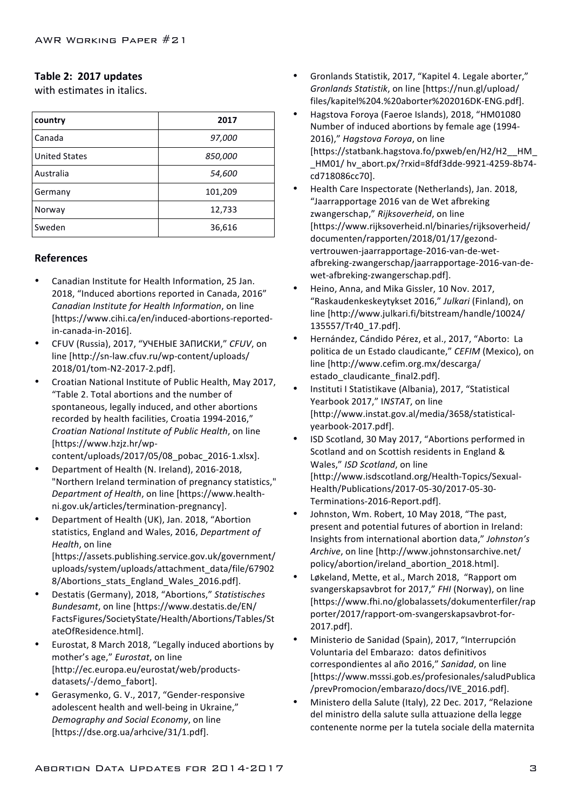#### Table 2: 2017 updates

with estimates in italics.

| country              | 2017    |
|----------------------|---------|
| Canada               | 97,000  |
| <b>United States</b> | 850,000 |
| Australia            | 54,600  |
| Germany              | 101,209 |
| Norway               | 12,733  |
| Sweden               | 36,616  |

#### **References**

- Canadian Institute for Health Information, 25 Jan. 2018, "Induced abortions reported in Canada, 2016" *Canadian Institute for Health Information*, on line [https://www.cihi.ca/en/induced-abortions-reportedin-canada-in-2016].
- CFUV (Russia), 2017, "УЧЕНЫЕ ЗАПИСКИ," *CFUV*, on line [http://sn-law.cfuv.ru/wp-content/uploads/ 2018/01/tom-N2-2017-2.pdf].
- Croatian National Institute of Public Health, May 2017, "Table 2. Total abortions and the number of spontaneous, legally induced, and other abortions recorded by health facilities, Croatia 1994-2016," *Croatian National Institute of Public Health*, on line [https://www.hzjz.hr/wp-

content/uploads/2017/05/08\_pobac\_2016-1.xlsx].

- Department of Health (N. Ireland), 2016-2018. "Northern Ireland termination of pregnancy statistics," *Department of Health*, on line [https://www.healthni.gov.uk/articles/termination-pregnancy].
- Department of Health (UK), Jan. 2018, "Abortion statistics, England and Wales, 2016, *Department of Health*, on line [https://assets.publishing.service.gov.uk/government/ uploads/system/uploads/attachment\_data/file/67902 8/Abortions\_stats\_England\_Wales\_2016.pdf].
- Destatis (Germany), 2018, "Abortions," Statistisches *Bundesamt*, on line [https://www.destatis.de/EN/ FactsFigures/SocietyState/Health/Abortions/Tables/St ateOfResidence.html].
- Eurostat, 8 March 2018, "Legally induced abortions by mother's age," *Eurostat*, on line [http://ec.europa.eu/eurostat/web/productsdatasets/-/demo\_fabort].
- Gerasymenko, G. V., 2017, "Gender-responsive adolescent health and well-being in Ukraine," *Demography and Social Economy*, on line [https://dse.org.ua/arhcive/31/1.pdf].
- Gronlands Statistik, 2017, "Kapitel 4. Legale aborter," *Gronlands Statistik*, on line [https://nun.gl/upload/ files/kapitel%204.%20aborter%202016DK-ENG.pdf].
- Hagstova Foroya (Faeroe Islands), 2018, "HM01080 Number of induced abortions by female age (1994-2016)," Hagstova Foroya, on line [https://statbank.hagstova.fo/pxweb/en/H2/H2\_\_HM\_ HM01/ hv\_abort.px/?rxid=8fdf3dde-9921-4259-8b74cd718086cc70].
- Health Care Inspectorate (Netherlands), Jan. 2018, "Jaarrapportage 2016 van de Wet afbreking zwangerschap," Rijksoverheid, on line [https://www.rijksoverheid.nl/binaries/rijksoverheid/ documenten/rapporten/2018/01/17/gezondvertrouwen-jaarrapportage-2016-van-de-wetafbreking-zwangerschap/jaarrapportage-2016-van-dewet-afbreking-zwangerschap.pdf].
- Heino, Anna, and Mika Gissler, 10 Nov. 2017, "Raskaudenkeskeytykset 2016," *Julkari* (Finland), on line [http://www.julkari.fi/bitstream/handle/10024/ 135557/Tr40\_17.pdf].
- Hernández, Cándido Pérez, et al., 2017, "Aborto: La politica de un Estado claudicante," CEFIM (Mexico), on line [http://www.cefim.org.mx/descarga/ estado claudicante final2.pdf].
- Instituti I Statistikave (Albania), 2017, "Statistical Yearbook 2017," INSTAT, on line [http://www.instat.gov.al/media/3658/statisticalyearbook-2017.pdf].
- ISD Scotland, 30 May 2017, "Abortions performed in Scotland and on Scottish residents in England & Wales," ISD Scotland, on line [http://www.isdscotland.org/Health-Topics/Sexual-Health/Publications/2017-05-30/2017-05-30- Terminations-2016-Report.pdf].
- Johnston, Wm. Robert, 10 May 2018, "The past, present and potential futures of abortion in Ireland: Insights from international abortion data," Johnston's Archive, on line [http://www.johnstonsarchive.net/ policy/abortion/ireland\_abortion\_2018.html].
- Løkeland, Mette, et al., March 2018, "Rapport om svangerskapsavbrot for 2017," FHI (Norway), on line [https://www.fhi.no/globalassets/dokumenterfiler/rap porter/2017/rapport-om-svangerskapsavbrot-for-2017.pdf].
- Ministerio de Sanidad (Spain), 2017, "Interrupción Voluntaria del Embarazo: datos definitivos correspondientes al año 2016," Sanidad, on line [https://www.msssi.gob.es/profesionales/saludPublica /prevPromocion/embarazo/docs/IVE\_2016.pdf].
- Ministero della Salute (Italy), 22 Dec. 2017, "Relazione del ministro della salute sulla attuazione della legge contenente norme per la tutela sociale della maternita